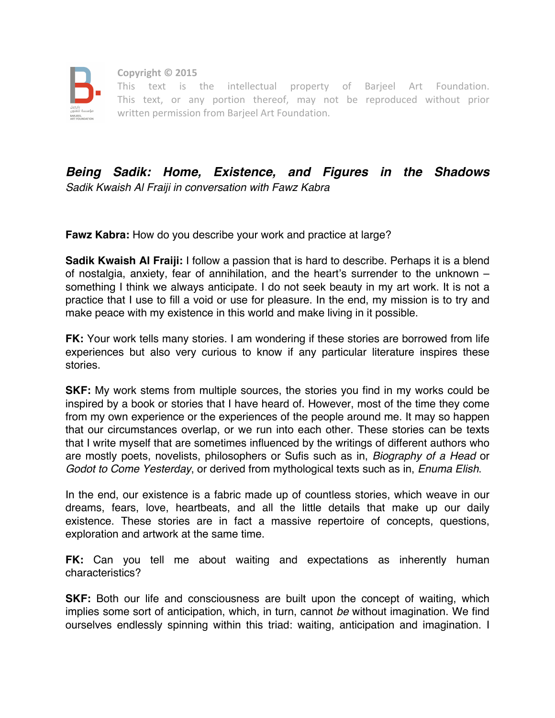

 **Copyright © 2015**

 This text is the intellectual property of Barjeel Art Foundation. This text, or any portion thereof, may not be reproduced without prior written permission from Barjeel Art Foundation.

## *Being Sadik: Home, Existence, and Figures in the Shadows Sadik Kwaish Al Fraiji in conversation with Fawz Kabra*

**Fawz Kabra:** How do you describe your work and practice at large?

**Sadik Kwaish Al Fraiji:** I follow a passion that is hard to describe. Perhaps it is a blend of nostalgia, anxiety, fear of annihilation, and the heart's surrender to the unknown – something I think we always anticipate. I do not seek beauty in my art work. It is not a practice that I use to fill a void or use for pleasure. In the end, my mission is to try and make peace with my existence in this world and make living in it possible.

**FK:** Your work tells many stories. I am wondering if these stories are borrowed from life experiences but also very curious to know if any particular literature inspires these stories.

**SKF:** My work stems from multiple sources, the stories you find in my works could be inspired by a book or stories that I have heard of. However, most of the time they come from my own experience or the experiences of the people around me. It may so happen that our circumstances overlap, or we run into each other. These stories can be texts that I write myself that are sometimes influenced by the writings of different authors who are mostly poets, novelists, philosophers or Sufis such as in, *Biography of a Head* or *Godot to Come Yesterday*, or derived from mythological texts such as in, *Enuma Elish*.

In the end, our existence is a fabric made up of countless stories, which weave in our dreams, fears, love, heartbeats, and all the little details that make up our daily existence. These stories are in fact a massive repertoire of concepts, questions, exploration and artwork at the same time.

**FK:** Can you tell me about waiting and expectations as inherently human characteristics?

**SKF:** Both our life and consciousness are built upon the concept of waiting, which implies some sort of anticipation, which, in turn, cannot *be* without imagination. We find ourselves endlessly spinning within this triad: waiting, anticipation and imagination. I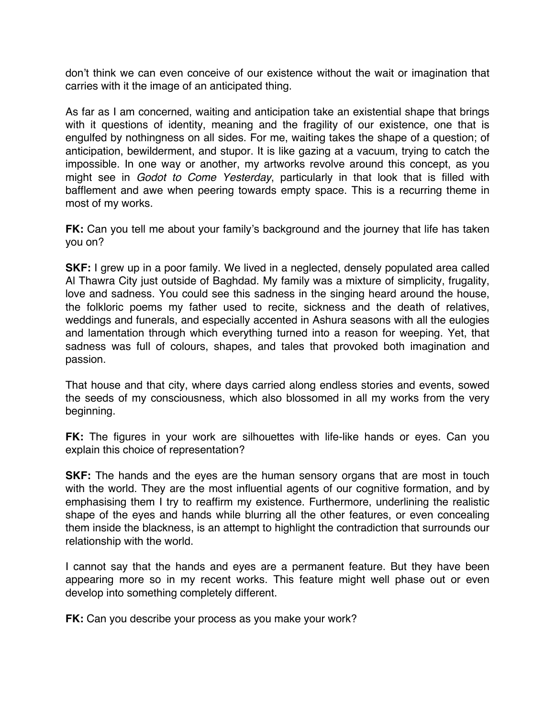don't think we can even conceive of our existence without the wait or imagination that carries with it the image of an anticipated thing.

As far as I am concerned, waiting and anticipation take an existential shape that brings with it questions of identity, meaning and the fragility of our existence, one that is engulfed by nothingness on all sides. For me, waiting takes the shape of a question; of anticipation, bewilderment, and stupor. It is like gazing at a vacuum, trying to catch the impossible. In one way or another, my artworks revolve around this concept, as you might see in *Godot to Come Yesterday*, particularly in that look that is filled with bafflement and awe when peering towards empty space. This is a recurring theme in most of my works.

**FK:** Can you tell me about your family's background and the journey that life has taken you on?

**SKF:** I grew up in a poor family. We lived in a neglected, densely populated area called Al Thawra City just outside of Baghdad. My family was a mixture of simplicity, frugality, love and sadness. You could see this sadness in the singing heard around the house, the folkloric poems my father used to recite, sickness and the death of relatives, weddings and funerals, and especially accented in Ashura seasons with all the eulogies and lamentation through which everything turned into a reason for weeping. Yet, that sadness was full of colours, shapes, and tales that provoked both imagination and passion.

That house and that city, where days carried along endless stories and events, sowed the seeds of my consciousness, which also blossomed in all my works from the very beginning.

**FK:** The figures in your work are silhouettes with life-like hands or eyes. Can you explain this choice of representation?

**SKF:** The hands and the eyes are the human sensory organs that are most in touch with the world. They are the most influential agents of our cognitive formation, and by emphasising them I try to reaffirm my existence. Furthermore, underlining the realistic shape of the eyes and hands while blurring all the other features, or even concealing them inside the blackness, is an attempt to highlight the contradiction that surrounds our relationship with the world.

I cannot say that the hands and eyes are a permanent feature. But they have been appearing more so in my recent works. This feature might well phase out or even develop into something completely different.

**FK:** Can you describe your process as you make your work?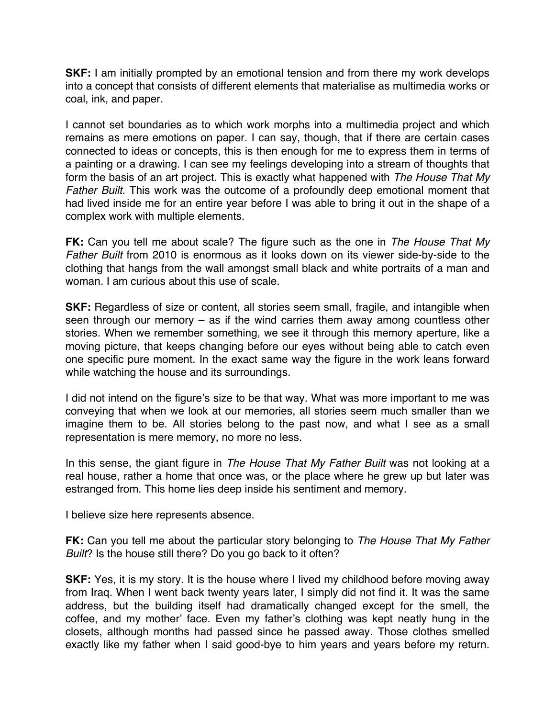**SKF:** I am initially prompted by an emotional tension and from there my work develops into a concept that consists of different elements that materialise as multimedia works or coal, ink, and paper.

I cannot set boundaries as to which work morphs into a multimedia project and which remains as mere emotions on paper. I can say, though, that if there are certain cases connected to ideas or concepts, this is then enough for me to express them in terms of a painting or a drawing. I can see my feelings developing into a stream of thoughts that form the basis of an art project. This is exactly what happened with *The House That My Father Built*. This work was the outcome of a profoundly deep emotional moment that had lived inside me for an entire year before I was able to bring it out in the shape of a complex work with multiple elements.

**FK:** Can you tell me about scale? The figure such as the one in *The House That My Father Built* from 2010 is enormous as it looks down on its viewer side-by-side to the clothing that hangs from the wall amongst small black and white portraits of a man and woman. I am curious about this use of scale.

**SKF:** Regardless of size or content, all stories seem small, fragile, and intangible when seen through our memory – as if the wind carries them away among countless other stories. When we remember something, we see it through this memory aperture, like a moving picture, that keeps changing before our eyes without being able to catch even one specific pure moment. In the exact same way the figure in the work leans forward while watching the house and its surroundings.

I did not intend on the figure's size to be that way. What was more important to me was conveying that when we look at our memories, all stories seem much smaller than we imagine them to be. All stories belong to the past now, and what I see as a small representation is mere memory, no more no less.

In this sense, the giant figure in *The House That My Father Built* was not looking at a real house, rather a home that once was, or the place where he grew up but later was estranged from. This home lies deep inside his sentiment and memory.

I believe size here represents absence.

**FK:** Can you tell me about the particular story belonging to *The House That My Father Built*? Is the house still there? Do you go back to it often?

**SKF:** Yes, it is my story. It is the house where I lived my childhood before moving away from Iraq. When I went back twenty years later, I simply did not find it. It was the same address, but the building itself had dramatically changed except for the smell, the coffee, and my mother' face. Even my father's clothing was kept neatly hung in the closets, although months had passed since he passed away. Those clothes smelled exactly like my father when I said good-bye to him years and years before my return.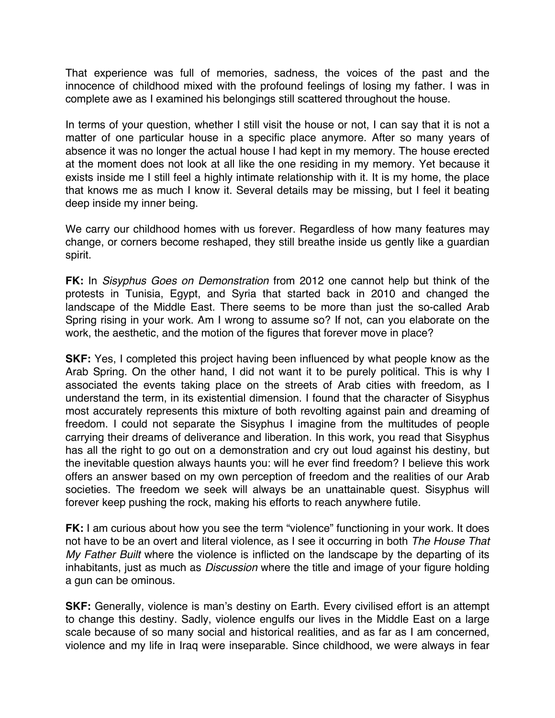That experience was full of memories, sadness, the voices of the past and the innocence of childhood mixed with the profound feelings of losing my father. I was in complete awe as I examined his belongings still scattered throughout the house.

In terms of your question, whether I still visit the house or not, I can say that it is not a matter of one particular house in a specific place anymore. After so many years of absence it was no longer the actual house I had kept in my memory. The house erected at the moment does not look at all like the one residing in my memory. Yet because it exists inside me I still feel a highly intimate relationship with it. It is my home, the place that knows me as much I know it. Several details may be missing, but I feel it beating deep inside my inner being.

We carry our childhood homes with us forever. Regardless of how many features may change, or corners become reshaped, they still breathe inside us gently like a guardian spirit.

**FK:** In *Sisyphus Goes on Demonstration* from 2012 one cannot help but think of the protests in Tunisia, Egypt, and Syria that started back in 2010 and changed the landscape of the Middle East. There seems to be more than just the so-called Arab Spring rising in your work. Am I wrong to assume so? If not, can you elaborate on the work, the aesthetic, and the motion of the figures that forever move in place?

**SKF:** Yes, I completed this project having been influenced by what people know as the Arab Spring. On the other hand, I did not want it to be purely political. This is why I associated the events taking place on the streets of Arab cities with freedom, as I understand the term, in its existential dimension. I found that the character of Sisyphus most accurately represents this mixture of both revolting against pain and dreaming of freedom. I could not separate the Sisyphus I imagine from the multitudes of people carrying their dreams of deliverance and liberation. In this work, you read that Sisyphus has all the right to go out on a demonstration and cry out loud against his destiny, but the inevitable question always haunts you: will he ever find freedom? I believe this work offers an answer based on my own perception of freedom and the realities of our Arab societies. The freedom we seek will always be an unattainable quest. Sisyphus will forever keep pushing the rock, making his efforts to reach anywhere futile.

**FK:** I am curious about how you see the term "violence" functioning in your work. It does not have to be an overt and literal violence, as I see it occurring in both *The House That My Father Built* where the violence is inflicted on the landscape by the departing of its inhabitants, just as much as *Discussion* where the title and image of your figure holding a gun can be ominous.

**SKF:** Generally, violence is man's destiny on Earth. Every civilised effort is an attempt to change this destiny. Sadly, violence engulfs our lives in the Middle East on a large scale because of so many social and historical realities, and as far as I am concerned, violence and my life in Iraq were inseparable. Since childhood, we were always in fear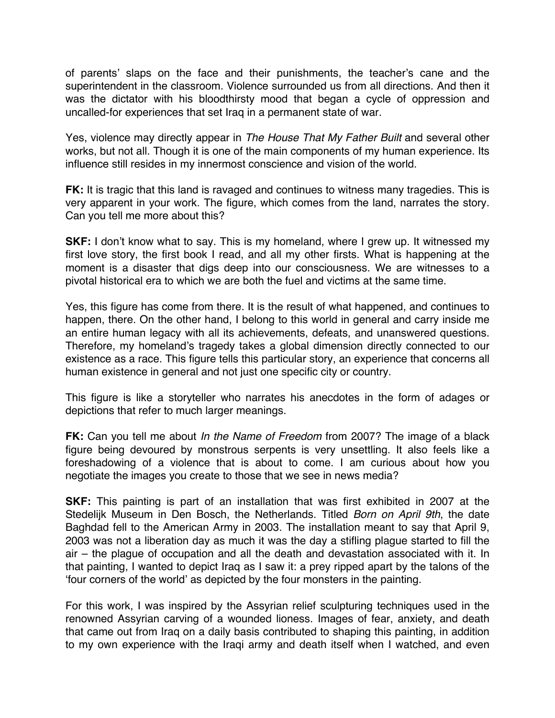of parents' slaps on the face and their punishments, the teacher's cane and the superintendent in the classroom. Violence surrounded us from all directions. And then it was the dictator with his bloodthirsty mood that began a cycle of oppression and uncalled-for experiences that set Iraq in a permanent state of war.

Yes, violence may directly appear in *The House That My Father Built* and several other works, but not all. Though it is one of the main components of my human experience. Its influence still resides in my innermost conscience and vision of the world.

**FK:** It is tragic that this land is ravaged and continues to witness many tragedies. This is very apparent in your work. The figure, which comes from the land, narrates the story. Can you tell me more about this?

**SKF:** I don't know what to say. This is my homeland, where I grew up. It witnessed my first love story, the first book I read, and all my other firsts. What is happening at the moment is a disaster that digs deep into our consciousness. We are witnesses to a pivotal historical era to which we are both the fuel and victims at the same time.

Yes, this figure has come from there. It is the result of what happened, and continues to happen, there. On the other hand, I belong to this world in general and carry inside me an entire human legacy with all its achievements, defeats, and unanswered questions. Therefore, my homeland's tragedy takes a global dimension directly connected to our existence as a race. This figure tells this particular story, an experience that concerns all human existence in general and not just one specific city or country.

This figure is like a storyteller who narrates his anecdotes in the form of adages or depictions that refer to much larger meanings.

**FK:** Can you tell me about *In the Name of Freedom* from 2007? The image of a black figure being devoured by monstrous serpents is very unsettling. It also feels like a foreshadowing of a violence that is about to come. I am curious about how you negotiate the images you create to those that we see in news media?

**SKF:** This painting is part of an installation that was first exhibited in 2007 at the Stedelijk Museum in Den Bosch, the Netherlands. Titled *Born on April 9th*, the date Baghdad fell to the American Army in 2003. The installation meant to say that April 9, 2003 was not a liberation day as much it was the day a stifling plague started to fill the air – the plague of occupation and all the death and devastation associated with it. In that painting, I wanted to depict Iraq as I saw it: a prey ripped apart by the talons of the 'four corners of the world' as depicted by the four monsters in the painting.

For this work, I was inspired by the Assyrian relief sculpturing techniques used in the renowned Assyrian carving of a wounded lioness. Images of fear, anxiety, and death that came out from Iraq on a daily basis contributed to shaping this painting, in addition to my own experience with the Iraqi army and death itself when I watched, and even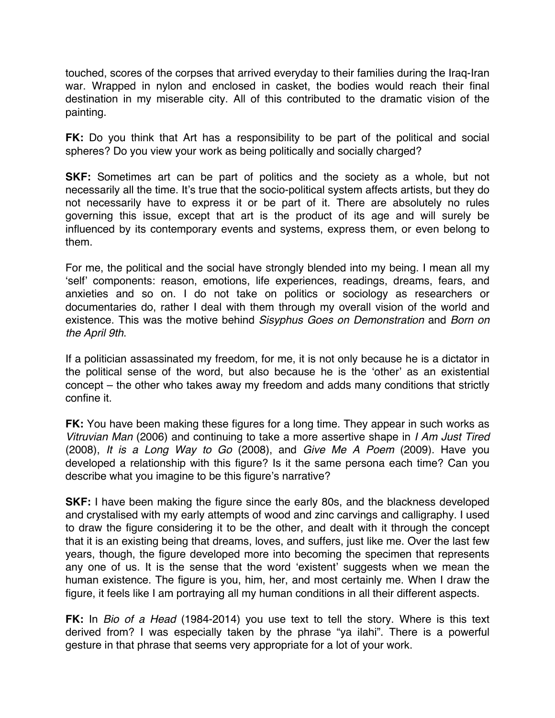touched, scores of the corpses that arrived everyday to their families during the Iraq-Iran war. Wrapped in nylon and enclosed in casket, the bodies would reach their final destination in my miserable city. All of this contributed to the dramatic vision of the painting.

**FK:** Do you think that Art has a responsibility to be part of the political and social spheres? Do you view your work as being politically and socially charged?

**SKF:** Sometimes art can be part of politics and the society as a whole, but not necessarily all the time. It's true that the socio-political system affects artists, but they do not necessarily have to express it or be part of it. There are absolutely no rules governing this issue, except that art is the product of its age and will surely be influenced by its contemporary events and systems, express them, or even belong to them.

For me, the political and the social have strongly blended into my being. I mean all my 'self' components: reason, emotions, life experiences, readings, dreams, fears, and anxieties and so on. I do not take on politics or sociology as researchers or documentaries do, rather I deal with them through my overall vision of the world and existence. This was the motive behind *Sisyphus Goes on Demonstration* and *Born on the April 9th*.

If a politician assassinated my freedom, for me, it is not only because he is a dictator in the political sense of the word, but also because he is the 'other' as an existential concept – the other who takes away my freedom and adds many conditions that strictly confine it.

**FK:** You have been making these figures for a long time. They appear in such works as *Vitruvian Man* (2006) and continuing to take a more assertive shape in *I Am Just Tired* (2008), *It is a Long Way to Go* (2008), and *Give Me A Poem* (2009). Have you developed a relationship with this figure? Is it the same persona each time? Can you describe what you imagine to be this figure's narrative?

**SKF:** I have been making the figure since the early 80s, and the blackness developed and crystalised with my early attempts of wood and zinc carvings and calligraphy. I used to draw the figure considering it to be the other, and dealt with it through the concept that it is an existing being that dreams, loves, and suffers, just like me. Over the last few years, though, the figure developed more into becoming the specimen that represents any one of us. It is the sense that the word 'existent' suggests when we mean the human existence. The figure is you, him, her, and most certainly me. When I draw the figure, it feels like I am portraying all my human conditions in all their different aspects.

**FK:** In *Bio of a Head* (1984-2014) you use text to tell the story. Where is this text derived from? I was especially taken by the phrase "ya ilahi". There is a powerful gesture in that phrase that seems very appropriate for a lot of your work.